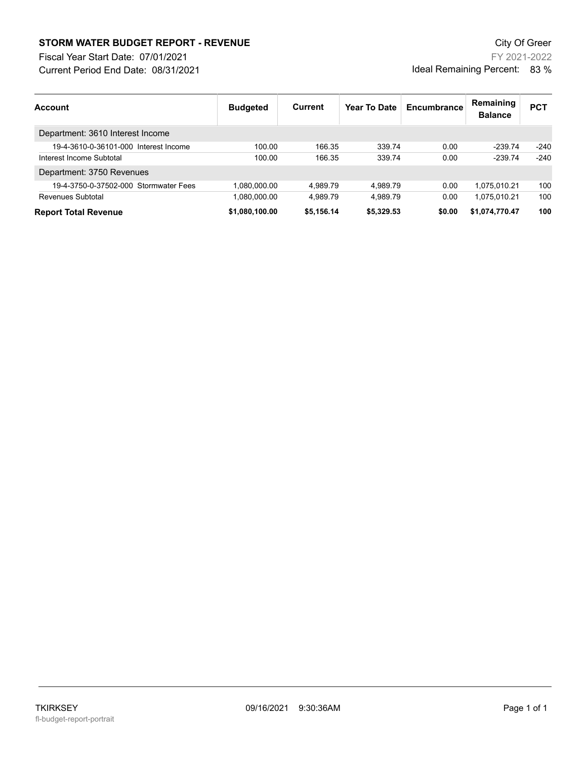## **STORM WATER BUDGET REPORT - REVENUE CONSUMPTER BUDGET REPORT - REVENUE**

Current Period End Date: 08/31/2021 Fiscal Year Start Date: 07/01/2021

FY 2021-2022 Ideal Remaining Percent: 83 %

| <b>Account</b>                        | <b>Budgeted</b> | <b>Current</b> | <b>Year To Date</b> | Encumbrance | Remaining<br><b>Balance</b> | <b>PCT</b> |
|---------------------------------------|-----------------|----------------|---------------------|-------------|-----------------------------|------------|
| Department: 3610 Interest Income      |                 |                |                     |             |                             |            |
| 19-4-3610-0-36101-000 Interest Income | 100.00          | 166.35         | 339.74              | 0.00        | $-239.74$                   | $-240$     |
| Interest Income Subtotal              | 100.00          | 166.35         | 339.74              | 0.00        | $-239.74$                   | $-240$     |
| Department: 3750 Revenues             |                 |                |                     |             |                             |            |
| 19-4-3750-0-37502-000 Stormwater Fees | 1,080,000.00    | 4.989.79       | 4.989.79            | 0.00        | 1,075,010.21                | 100        |
| Revenues Subtotal                     | 1,080,000.00    | 4.989.79       | 4.989.79            | 0.00        | 1,075,010.21                | 100        |
| <b>Report Total Revenue</b>           | \$1,080,100.00  | \$5,156.14     | \$5,329.53          | \$0.00      | \$1,074,770.47              | 100        |